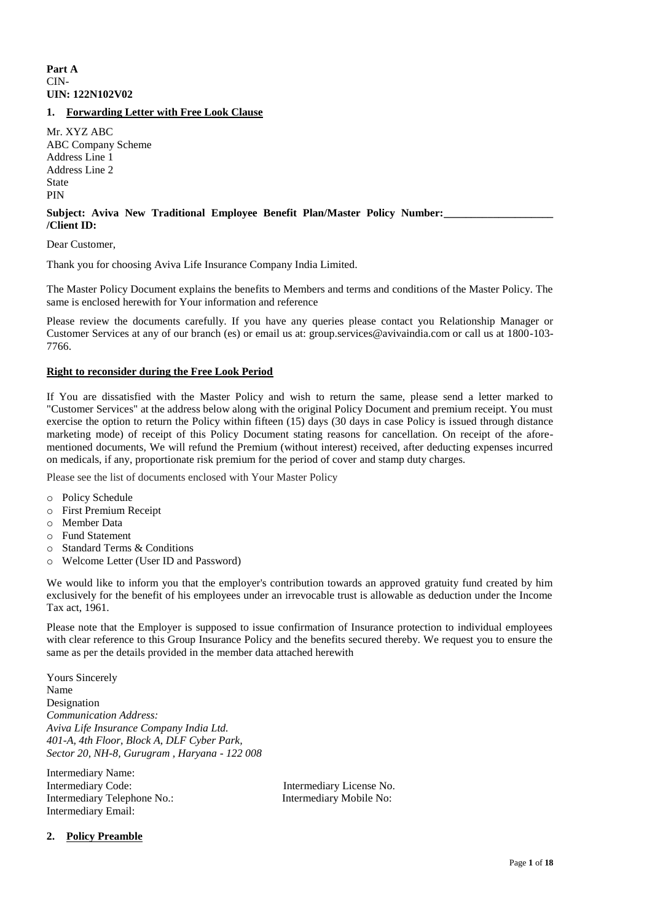# **Part A** CIN-**UIN: 122N102V02**

# **1. Forwarding Letter with Free Look Clause**

Mr. XYZ ABC ABC Company Scheme Address Line 1 Address Line 2 State PIN

#### Subject: Aviva New Traditional Employee Benefit Plan/Master Policy Number: **/Client ID:**

Dear Customer,

Thank you for choosing Aviva Life Insurance Company India Limited.

The Master Policy Document explains the benefits to Members and terms and conditions of the Master Policy. The same is enclosed herewith for Your information and reference

Please review the documents carefully. If you have any queries please contact you Relationship Manager or Customer Services at any of our branch (es) or email us at: group.services@avivaindia.com or call us at 1800-103- 7766.

## **Right to reconsider during the Free Look Period**

If You are dissatisfied with the Master Policy and wish to return the same, please send a letter marked to "Customer Services" at the address below along with the original Policy Document and premium receipt. You must exercise the option to return the Policy within fifteen (15) days (30 days in case Policy is issued through distance marketing mode) of receipt of this Policy Document stating reasons for cancellation. On receipt of the aforementioned documents, We will refund the Premium (without interest) received, after deducting expenses incurred on medicals, if any, proportionate risk premium for the period of cover and stamp duty charges.

Please see the list of documents enclosed with Your Master Policy

o Policy Schedule

- o First Premium Receipt
- o Member Data
- o Fund Statement
- o Standard Terms & Conditions
- o Welcome Letter (User ID and Password)

We would like to inform you that the employer's contribution towards an approved gratuity fund created by him exclusively for the benefit of his employees under an irrevocable trust is allowable as deduction under the Income Tax act, 1961.

Please note that the Employer is supposed to issue confirmation of Insurance protection to individual employees with clear reference to this Group Insurance Policy and the benefits secured thereby. We request you to ensure the same as per the details provided in the member data attached herewith

Yours Sincerely Name Designation *Communication Address: Aviva Life Insurance Company India Ltd. 401-A, 4th Floor, Block A, DLF Cyber Park, Sector 20, NH-8, Gurugram , Haryana - 122 008*

Intermediary Name: Intermediary Code: Intermediary License No. Intermediary Telephone No.: Intermediary Mobile No: Intermediary Email:

# **2. Policy Preamble**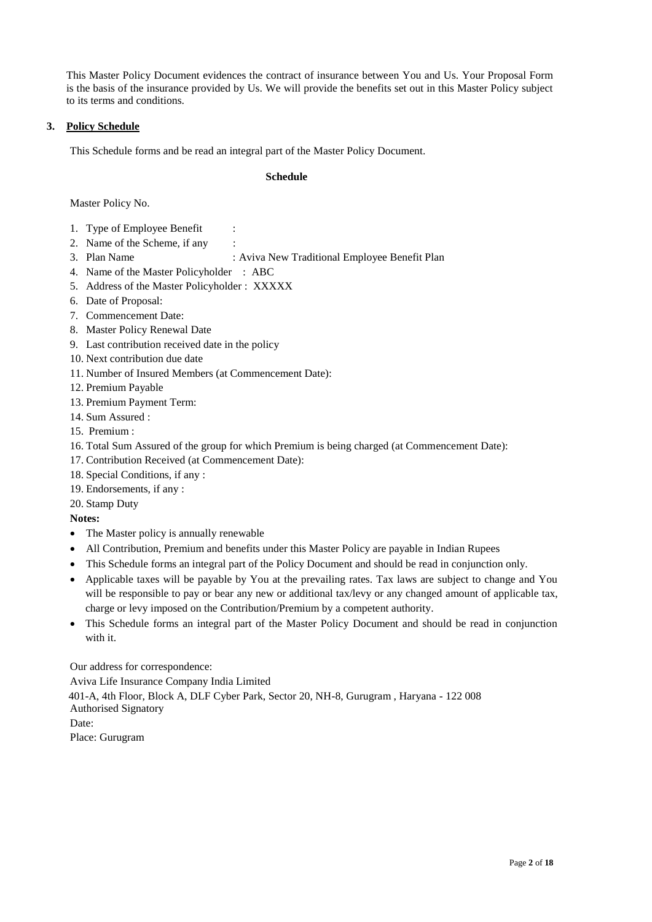This Master Policy Document evidences the contract of insurance between You and Us. Your Proposal Form is the basis of the insurance provided by Us. We will provide the benefits set out in this Master Policy subject to its terms and conditions.

# **3. Policy Schedule**

This Schedule forms and be read an integral part of the Master Policy Document.

## **Schedule**

Master Policy No.

- 1. Type of Employee Benefit
- 2. Name of the Scheme, if any
- 
- 3. Plan Name : Aviva New Traditional Employee Benefit Plan
- 4. Name of the Master Policyholder : ABC
- 5. Address of the Master Policyholder : XXXXX
- 6. Date of Proposal:
- 7. Commencement Date:
- 8. Master Policy Renewal Date
- 9. Last contribution received date in the policy
- 10. Next contribution due date
- 11. Number of Insured Members (at Commencement Date):
- 12. Premium Payable
- 13. Premium Payment Term:
- 14. Sum Assured :
- 15. Premium :
- 16. Total Sum Assured of the group for which Premium is being charged (at Commencement Date):
- 17. Contribution Received (at Commencement Date):
- 18. Special Conditions, if any :
- 19. Endorsements, if any :

20. Stamp Duty

**Notes:**

- The Master policy is annually renewable
- All Contribution, Premium and benefits under this Master Policy are payable in Indian Rupees
- This Schedule forms an integral part of the Policy Document and should be read in conjunction only.
- Applicable taxes will be payable by You at the prevailing rates. Tax laws are subject to change and You will be responsible to pay or bear any new or additional tax/levy or any changed amount of applicable tax, charge or levy imposed on the Contribution/Premium by a competent authority.
- This Schedule forms an integral part of the Master Policy Document and should be read in conjunction with it.

Our address for correspondence: Aviva Life Insurance Company India Limited 401-A, 4th Floor, Block A, DLF Cyber Park, Sector 20, NH-8, Gurugram , Haryana - 122 008 Authorised Signatory Date: Place: Gurugram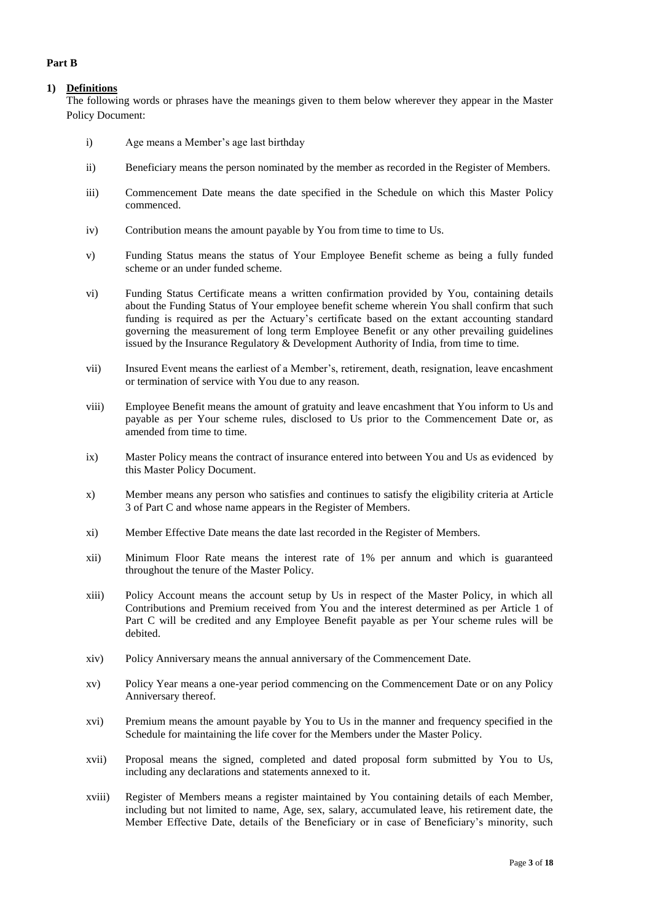# **Part B**

# **1) Definitions**

The following words or phrases have the meanings given to them below wherever they appear in the Master Policy Document:

- i) Age means a Member's age last birthday
- ii) Beneficiary means the person nominated by the member as recorded in the Register of Members.
- iii) Commencement Date means the date specified in the Schedule on which this Master Policy commenced.
- iv) Contribution means the amount payable by You from time to time to Us.
- v) Funding Status means the status of Your Employee Benefit scheme as being a fully funded scheme or an under funded scheme.
- vi) Funding Status Certificate means a written confirmation provided by You, containing details about the Funding Status of Your employee benefit scheme wherein You shall confirm that such funding is required as per the Actuary's certificate based on the extant accounting standard governing the measurement of long term Employee Benefit or any other prevailing guidelines issued by the Insurance Regulatory & Development Authority of India, from time to time.
- vii) Insured Event means the earliest of a Member's, retirement, death, resignation, leave encashment or termination of service with You due to any reason.
- viii) Employee Benefit means the amount of gratuity and leave encashment that You inform to Us and payable as per Your scheme rules, disclosed to Us prior to the Commencement Date or, as amended from time to time.
- ix) Master Policy means the contract of insurance entered into between You and Us as evidenced by this Master Policy Document.
- x) Member means any person who satisfies and continues to satisfy the eligibility criteria at Article 3 of Part C and whose name appears in the Register of Members.
- xi) Member Effective Date means the date last recorded in the Register of Members.
- xii) Minimum Floor Rate means the interest rate of 1% per annum and which is guaranteed throughout the tenure of the Master Policy.
- xiii) Policy Account means the account setup by Us in respect of the Master Policy, in which all Contributions and Premium received from You and the interest determined as per Article 1 of Part C will be credited and any Employee Benefit payable as per Your scheme rules will be debited.
- xiv) Policy Anniversary means the annual anniversary of the Commencement Date.
- xv) Policy Year means a one-year period commencing on the Commencement Date or on any Policy Anniversary thereof.
- xvi) Premium means the amount payable by You to Us in the manner and frequency specified in the Schedule for maintaining the life cover for the Members under the Master Policy.
- xvii) Proposal means the signed, completed and dated proposal form submitted by You to Us, including any declarations and statements annexed to it.
- xviii) Register of Members means a register maintained by You containing details of each Member, including but not limited to name, Age, sex, salary, accumulated leave, his retirement date, the Member Effective Date, details of the Beneficiary or in case of Beneficiary's minority, such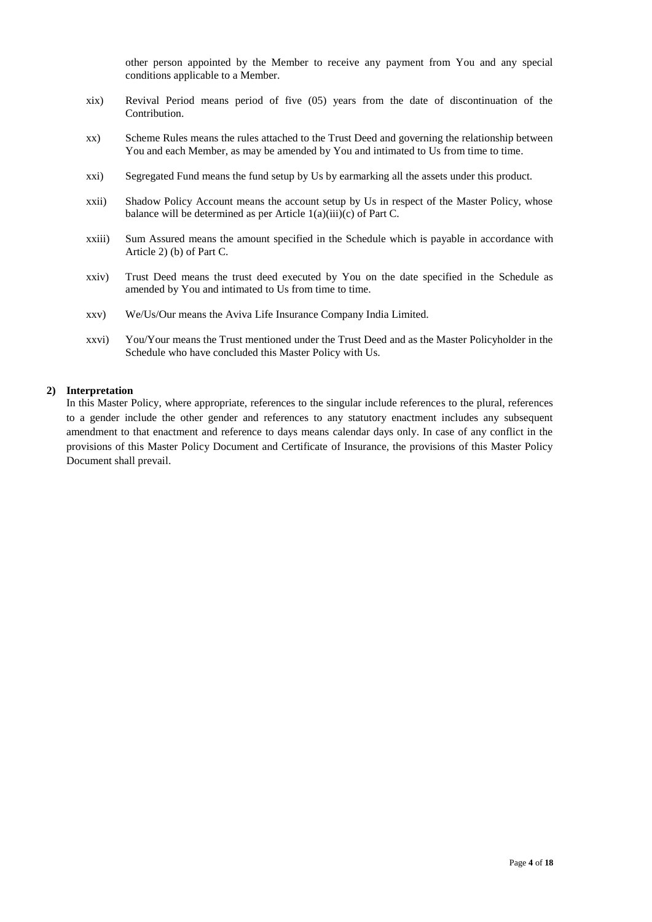other person appointed by the Member to receive any payment from You and any special conditions applicable to a Member.

- xix) Revival Period means period of five (05) years from the date of discontinuation of the Contribution.
- xx) Scheme Rules means the rules attached to the Trust Deed and governing the relationship between You and each Member, as may be amended by You and intimated to Us from time to time.
- xxi) Segregated Fund means the fund setup by Us by earmarking all the assets under this product.
- xxii) Shadow Policy Account means the account setup by Us in respect of the Master Policy, whose balance will be determined as per Article 1(a)(iii)(c) of Part C.
- xxiii) Sum Assured means the amount specified in the Schedule which is payable in accordance with Article 2) (b) of Part C.
- xxiv) Trust Deed means the trust deed executed by You on the date specified in the Schedule as amended by You and intimated to Us from time to time.
- xxv) We/Us/Our means the Aviva Life Insurance Company India Limited.
- xxvi) You/Your means the Trust mentioned under the Trust Deed and as the Master Policyholder in the Schedule who have concluded this Master Policy with Us.

#### **2) Interpretation**

In this Master Policy, where appropriate, references to the singular include references to the plural, references to a gender include the other gender and references to any statutory enactment includes any subsequent amendment to that enactment and reference to days means calendar days only. In case of any conflict in the provisions of this Master Policy Document and Certificate of Insurance, the provisions of this Master Policy Document shall prevail.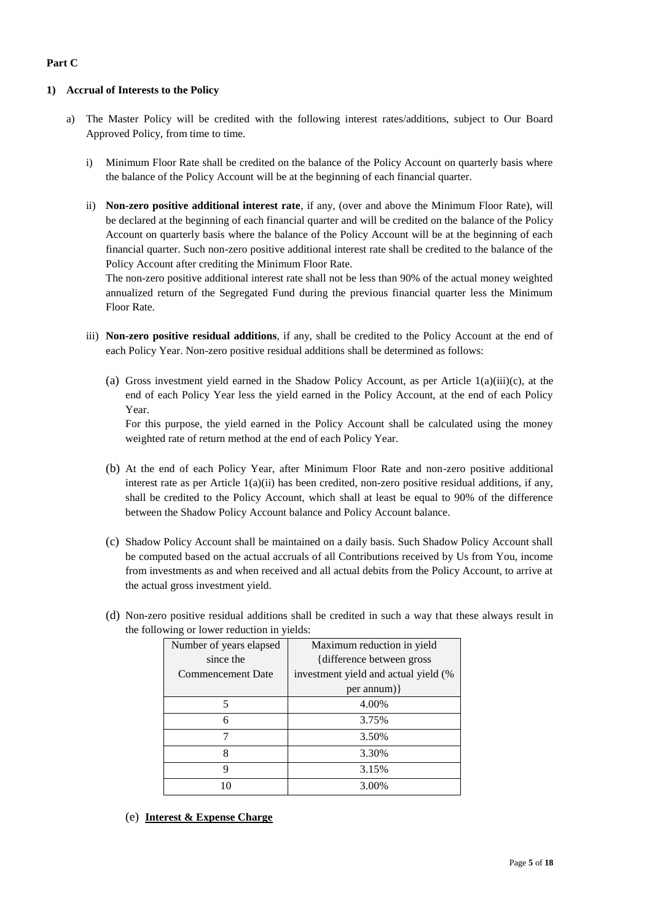# **Part C**

# **1) Accrual of Interests to the Policy**

- a) The Master Policy will be credited with the following interest rates/additions, subject to Our Board Approved Policy, from time to time.
	- i) Minimum Floor Rate shall be credited on the balance of the Policy Account on quarterly basis where the balance of the Policy Account will be at the beginning of each financial quarter.
	- ii) **Non-zero positive additional interest rate**, if any, (over and above the Minimum Floor Rate), will be declared at the beginning of each financial quarter and will be credited on the balance of the Policy Account on quarterly basis where the balance of the Policy Account will be at the beginning of each financial quarter. Such non-zero positive additional interest rate shall be credited to the balance of the Policy Account after crediting the Minimum Floor Rate.

The non-zero positive additional interest rate shall not be less than 90% of the actual money weighted annualized return of the Segregated Fund during the previous financial quarter less the Minimum Floor Rate.

- iii) **Non-zero positive residual additions**, if any, shall be credited to the Policy Account at the end of each Policy Year. Non-zero positive residual additions shall be determined as follows:
	- (a) Gross investment yield earned in the Shadow Policy Account, as per Article  $1(a)(iii)(c)$ , at the end of each Policy Year less the yield earned in the Policy Account, at the end of each Policy Year.

For this purpose, the yield earned in the Policy Account shall be calculated using the money weighted rate of return method at the end of each Policy Year.

- (b) At the end of each Policy Year, after Minimum Floor Rate and non-zero positive additional interest rate as per Article 1(a)(ii) has been credited, non-zero positive residual additions, if any, shall be credited to the Policy Account, which shall at least be equal to 90% of the difference between the Shadow Policy Account balance and Policy Account balance.
- (c) Shadow Policy Account shall be maintained on a daily basis. Such Shadow Policy Account shall be computed based on the actual accruals of all Contributions received by Us from You, income from investments as and when received and all actual debits from the Policy Account, to arrive at the actual gross investment yield.
- (d) Non-zero positive residual additions shall be credited in such a way that these always result in the following or lower reduction in yields:

| Number of years elapsed  | Maximum reduction in yield           |  |
|--------------------------|--------------------------------------|--|
| since the                | {difference between gross}           |  |
| <b>Commencement Date</b> | investment yield and actual yield (% |  |
|                          | $per annum)$ }                       |  |
| 5                        | 4.00%                                |  |
| 6                        | 3.75%                                |  |
|                          | 3.50%                                |  |
| 3.30%<br>Ջ               |                                      |  |
| Q                        | 3.15%                                |  |
|                          | 3.00%                                |  |

(e) **Interest & Expense Charge**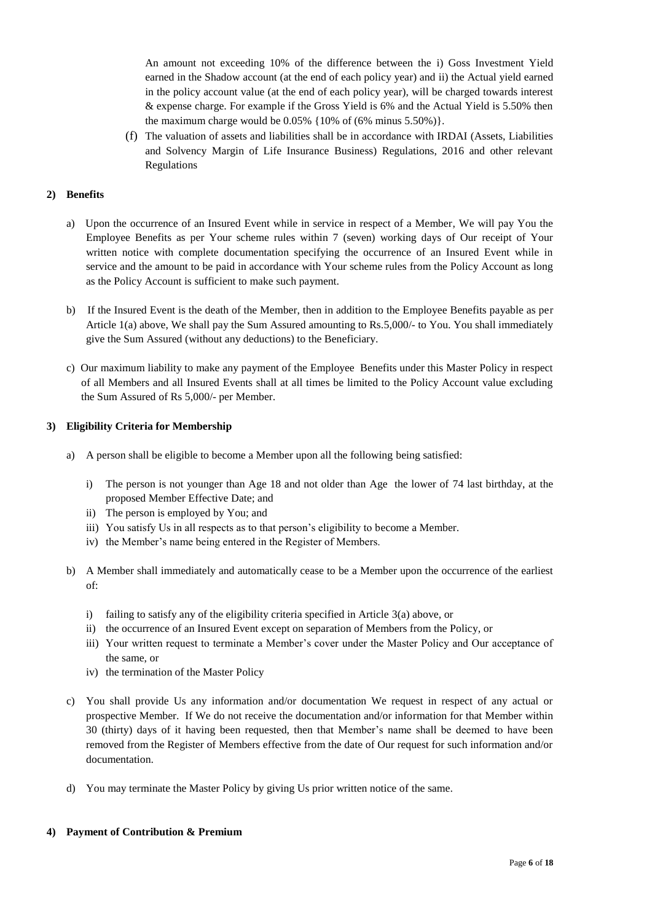An amount not exceeding 10% of the difference between the i) Goss Investment Yield earned in the Shadow account (at the end of each policy year) and ii) the Actual yield earned in the policy account value (at the end of each policy year), will be charged towards interest & expense charge. For example if the Gross Yield is 6% and the Actual Yield is 5.50% then the maximum charge would be  $0.05\%$  {10% of (6% minus 5.50%)}.

(f) The valuation of assets and liabilities shall be in accordance with IRDAI (Assets, Liabilities and Solvency Margin of Life Insurance Business) Regulations, 2016 and other relevant Regulations

# **2) Benefits**

- a) Upon the occurrence of an Insured Event while in service in respect of a Member, We will pay You the Employee Benefits as per Your scheme rules within 7 (seven) working days of Our receipt of Your written notice with complete documentation specifying the occurrence of an Insured Event while in service and the amount to be paid in accordance with Your scheme rules from the Policy Account as long as the Policy Account is sufficient to make such payment.
- b) If the Insured Event is the death of the Member, then in addition to the Employee Benefits payable as per Article 1(a) above, We shall pay the Sum Assured amounting to Rs.5,000/- to You. You shall immediately give the Sum Assured (without any deductions) to the Beneficiary.
- c) Our maximum liability to make any payment of the Employee Benefits under this Master Policy in respect of all Members and all Insured Events shall at all times be limited to the Policy Account value excluding the Sum Assured of Rs 5,000/- per Member.

# **3) Eligibility Criteria for Membership**

- a) A person shall be eligible to become a Member upon all the following being satisfied:
	- i) The person is not younger than Age 18 and not older than Age the lower of 74 last birthday, at the proposed Member Effective Date; and
	- ii) The person is employed by You; and
	- iii) You satisfy Us in all respects as to that person's eligibility to become a Member.
	- iv) the Member's name being entered in the Register of Members.
- b) A Member shall immediately and automatically cease to be a Member upon the occurrence of the earliest  $\alpha$ f.
	- i) failing to satisfy any of the eligibility criteria specified in Article 3(a) above, or
	- ii) the occurrence of an Insured Event except on separation of Members from the Policy, or
	- iii) Your written request to terminate a Member's cover under the Master Policy and Our acceptance of the same, or
	- iv) the termination of the Master Policy
- c) You shall provide Us any information and/or documentation We request in respect of any actual or prospective Member. If We do not receive the documentation and/or information for that Member within 30 (thirty) days of it having been requested, then that Member's name shall be deemed to have been removed from the Register of Members effective from the date of Our request for such information and/or documentation.
- d) You may terminate the Master Policy by giving Us prior written notice of the same.

## **4) Payment of Contribution & Premium**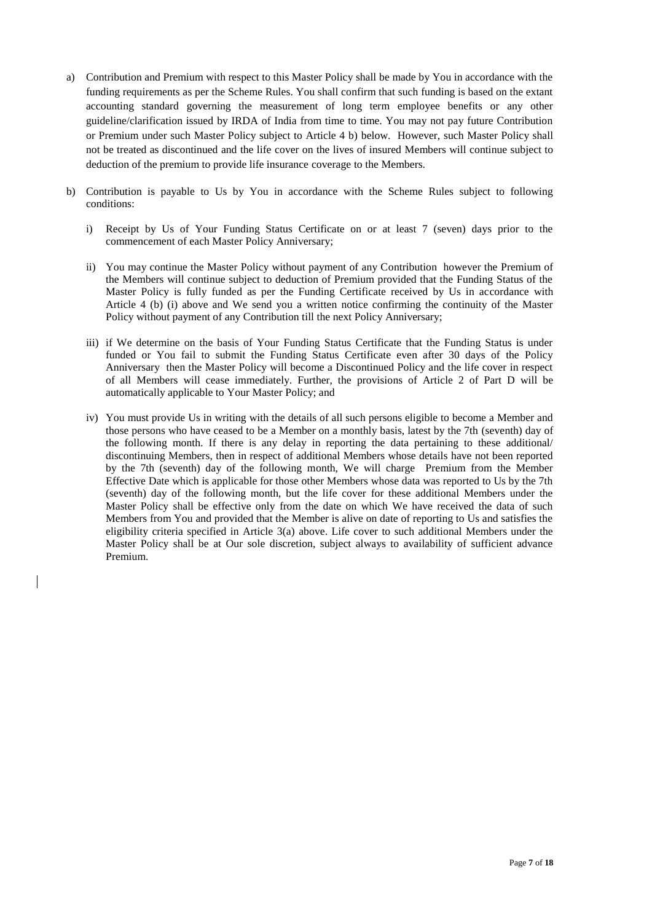- a) Contribution and Premium with respect to this Master Policy shall be made by You in accordance with the funding requirements as per the Scheme Rules. You shall confirm that such funding is based on the extant accounting standard governing the measurement of long term employee benefits or any other guideline/clarification issued by IRDA of India from time to time. You may not pay future Contribution or Premium under such Master Policy subject to Article 4 b) below. However, such Master Policy shall not be treated as discontinued and the life cover on the lives of insured Members will continue subject to deduction of the premium to provide life insurance coverage to the Members.
- b) Contribution is payable to Us by You in accordance with the Scheme Rules subject to following conditions:
	- i) Receipt by Us of Your Funding Status Certificate on or at least 7 (seven) days prior to the commencement of each Master Policy Anniversary;
	- ii) You may continue the Master Policy without payment of any Contribution however the Premium of the Members will continue subject to deduction of Premium provided that the Funding Status of the Master Policy is fully funded as per the Funding Certificate received by Us in accordance with Article 4 (b) (i) above and We send you a written notice confirming the continuity of the Master Policy without payment of any Contribution till the next Policy Anniversary;
	- iii) if We determine on the basis of Your Funding Status Certificate that the Funding Status is under funded or You fail to submit the Funding Status Certificate even after 30 days of the Policy Anniversary then the Master Policy will become a Discontinued Policy and the life cover in respect of all Members will cease immediately. Further, the provisions of Article 2 of Part D will be automatically applicable to Your Master Policy; and
	- iv) You must provide Us in writing with the details of all such persons eligible to become a Member and those persons who have ceased to be a Member on a monthly basis, latest by the 7th (seventh) day of the following month. If there is any delay in reporting the data pertaining to these additional/ discontinuing Members, then in respect of additional Members whose details have not been reported by the 7th (seventh) day of the following month, We will charge Premium from the Member Effective Date which is applicable for those other Members whose data was reported to Us by the 7th (seventh) day of the following month, but the life cover for these additional Members under the Master Policy shall be effective only from the date on which We have received the data of such Members from You and provided that the Member is alive on date of reporting to Us and satisfies the eligibility criteria specified in Article 3(a) above. Life cover to such additional Members under the Master Policy shall be at Our sole discretion, subject always to availability of sufficient advance Premium.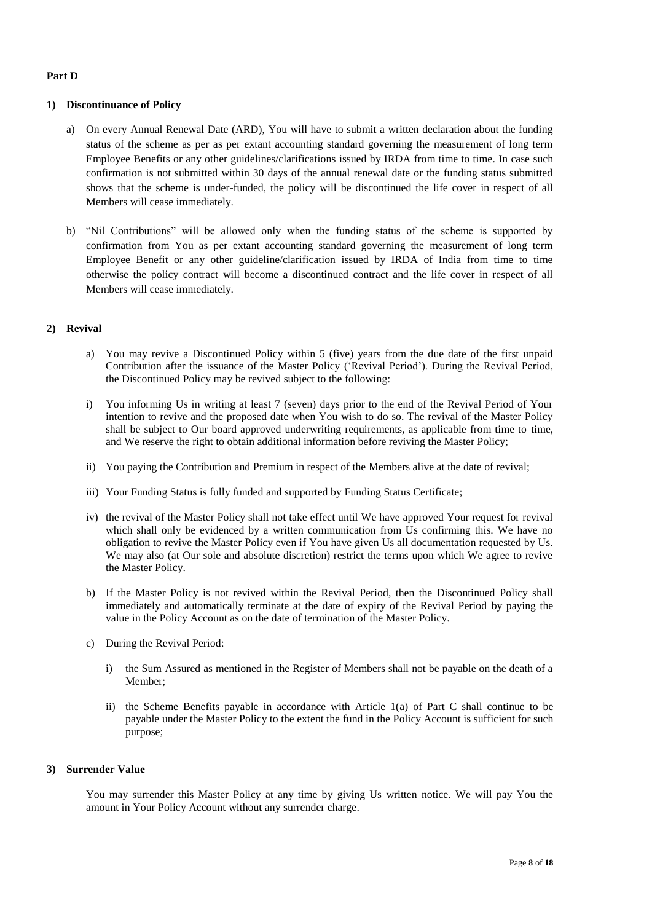#### **Part D**

#### **1) Discontinuance of Policy**

- a) On every Annual Renewal Date (ARD), You will have to submit a written declaration about the funding status of the scheme as per as per extant accounting standard governing the measurement of long term Employee Benefits or any other guidelines/clarifications issued by IRDA from time to time. In case such confirmation is not submitted within 30 days of the annual renewal date or the funding status submitted shows that the scheme is under-funded, the policy will be discontinued the life cover in respect of all Members will cease immediately.
- b) "Nil Contributions" will be allowed only when the funding status of the scheme is supported by confirmation from You as per extant accounting standard governing the measurement of long term Employee Benefit or any other guideline/clarification issued by IRDA of India from time to time otherwise the policy contract will become a discontinued contract and the life cover in respect of all Members will cease immediately.

#### **2) Revival**

- a) You may revive a Discontinued Policy within 5 (five) years from the due date of the first unpaid Contribution after the issuance of the Master Policy ('Revival Period'). During the Revival Period, the Discontinued Policy may be revived subject to the following:
- i) You informing Us in writing at least 7 (seven) days prior to the end of the Revival Period of Your intention to revive and the proposed date when You wish to do so. The revival of the Master Policy shall be subject to Our board approved underwriting requirements, as applicable from time to time, and We reserve the right to obtain additional information before reviving the Master Policy;
- ii) You paying the Contribution and Premium in respect of the Members alive at the date of revival;
- iii) Your Funding Status is fully funded and supported by Funding Status Certificate;
- iv) the revival of the Master Policy shall not take effect until We have approved Your request for revival which shall only be evidenced by a written communication from Us confirming this. We have no obligation to revive the Master Policy even if You have given Us all documentation requested by Us. We may also (at Our sole and absolute discretion) restrict the terms upon which We agree to revive the Master Policy.
- b) If the Master Policy is not revived within the Revival Period, then the Discontinued Policy shall immediately and automatically terminate at the date of expiry of the Revival Period by paying the value in the Policy Account as on the date of termination of the Master Policy.
- c) During the Revival Period:
	- i) the Sum Assured as mentioned in the Register of Members shall not be payable on the death of a Member;
	- ii) the Scheme Benefits payable in accordance with Article 1(a) of Part C shall continue to be payable under the Master Policy to the extent the fund in the Policy Account is sufficient for such purpose;

#### **3) Surrender Value**

You may surrender this Master Policy at any time by giving Us written notice. We will pay You the amount in Your Policy Account without any surrender charge.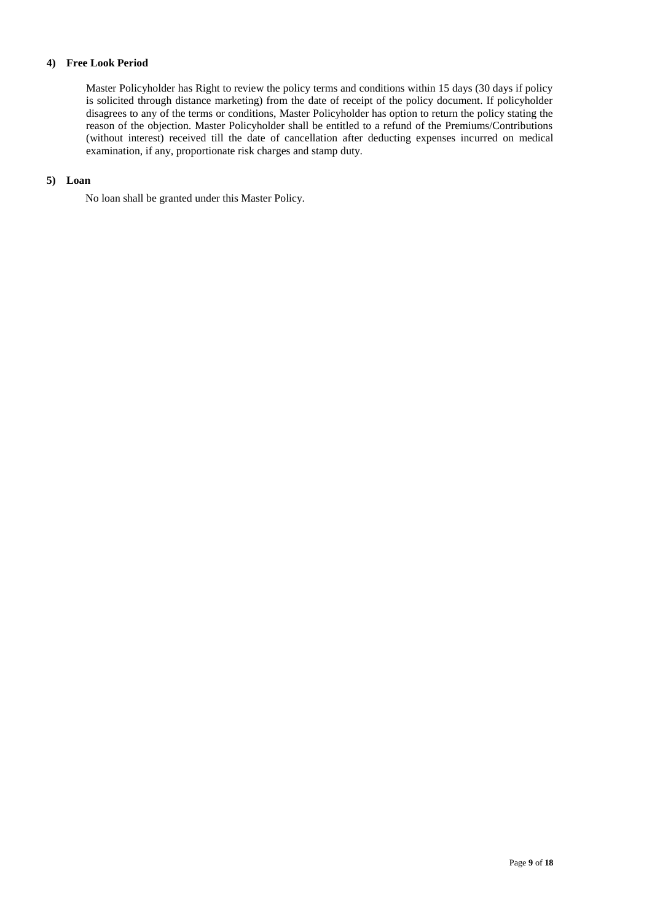## **4) Free Look Period**

Master Policyholder has Right to review the policy terms and conditions within 15 days (30 days if policy is solicited through distance marketing) from the date of receipt of the policy document. If policyholder disagrees to any of the terms or conditions, Master Policyholder has option to return the policy stating the reason of the objection. Master Policyholder shall be entitled to a refund of the Premiums/Contributions (without interest) received till the date of cancellation after deducting expenses incurred on medical examination, if any, proportionate risk charges and stamp duty.

## **5) Loan**

No loan shall be granted under this Master Policy.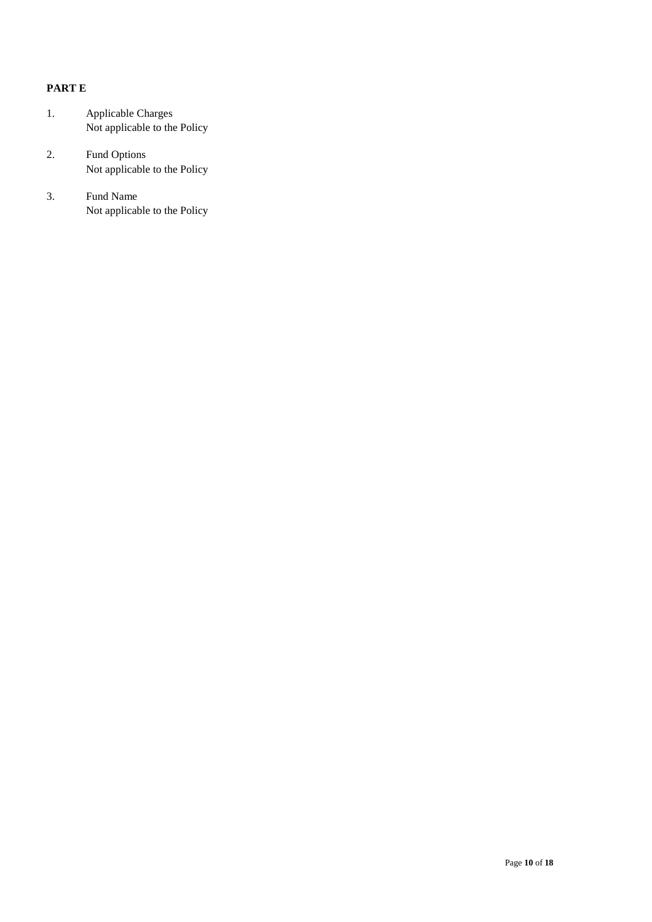# **PART E**

- 1. Applicable Charges Not applicable to the Policy
- 2. Fund Options Not applicable to the Policy
- 3. Fund Name Not applicable to the Policy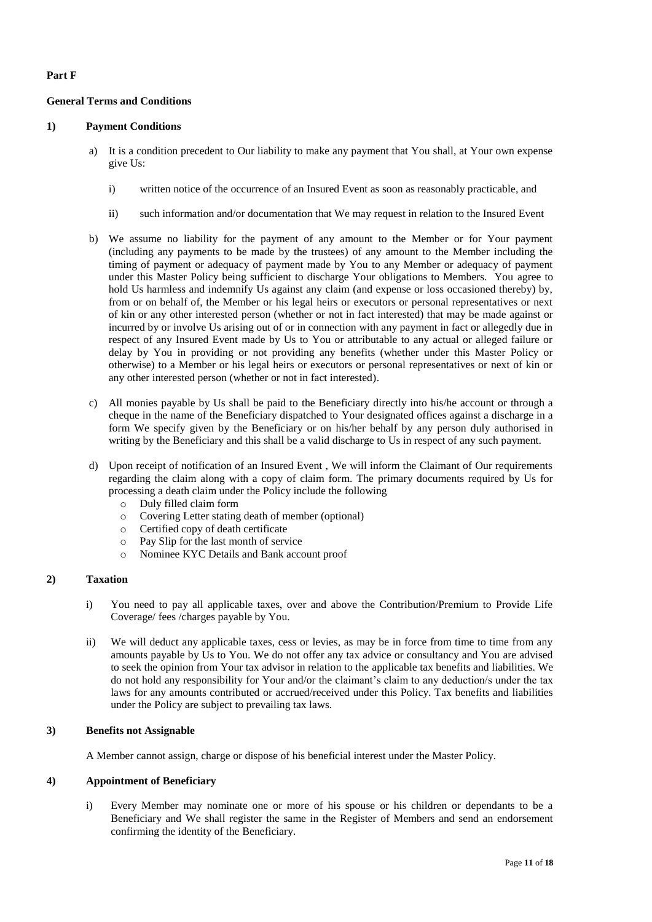## **Part F**

## **General Terms and Conditions**

## **1) Payment Conditions**

- a) It is a condition precedent to Our liability to make any payment that You shall, at Your own expense give Us:
	- i) written notice of the occurrence of an Insured Event as soon as reasonably practicable, and
	- ii) such information and/or documentation that We may request in relation to the Insured Event
- b) We assume no liability for the payment of any amount to the Member or for Your payment (including any payments to be made by the trustees) of any amount to the Member including the timing of payment or adequacy of payment made by You to any Member or adequacy of payment under this Master Policy being sufficient to discharge Your obligations to Members. You agree to hold Us harmless and indemnify Us against any claim (and expense or loss occasioned thereby) by, from or on behalf of, the Member or his legal heirs or executors or personal representatives or next of kin or any other interested person (whether or not in fact interested) that may be made against or incurred by or involve Us arising out of or in connection with any payment in fact or allegedly due in respect of any Insured Event made by Us to You or attributable to any actual or alleged failure or delay by You in providing or not providing any benefits (whether under this Master Policy or otherwise) to a Member or his legal heirs or executors or personal representatives or next of kin or any other interested person (whether or not in fact interested).
- c) All monies payable by Us shall be paid to the Beneficiary directly into his/he account or through a cheque in the name of the Beneficiary dispatched to Your designated offices against a discharge in a form We specify given by the Beneficiary or on his/her behalf by any person duly authorised in writing by the Beneficiary and this shall be a valid discharge to Us in respect of any such payment.
- d) Upon receipt of notification of an Insured Event , We will inform the Claimant of Our requirements regarding the claim along with a copy of claim form. The primary documents required by Us for processing a death claim under the Policy include the following
	- o Duly filled claim form
	- o Covering Letter stating death of member (optional)
	- o Certified copy of death certificate
	- o Pay Slip for the last month of service
	- o Nominee KYC Details and Bank account proof

## **2) Taxation**

- i) You need to pay all applicable taxes, over and above the Contribution/Premium to Provide Life Coverage/ fees /charges payable by You.
- ii) We will deduct any applicable taxes, cess or levies, as may be in force from time to time from any amounts payable by Us to You. We do not offer any tax advice or consultancy and You are advised to seek the opinion from Your tax advisor in relation to the applicable tax benefits and liabilities. We do not hold any responsibility for Your and/or the claimant's claim to any deduction/s under the tax laws for any amounts contributed or accrued/received under this Policy. Tax benefits and liabilities under the Policy are subject to prevailing tax laws.

## **3) Benefits not Assignable**

A Member cannot assign, charge or dispose of his beneficial interest under the Master Policy.

## **4) Appointment of Beneficiary**

i) Every Member may nominate one or more of his spouse or his children or dependants to be a Beneficiary and We shall register the same in the Register of Members and send an endorsement confirming the identity of the Beneficiary.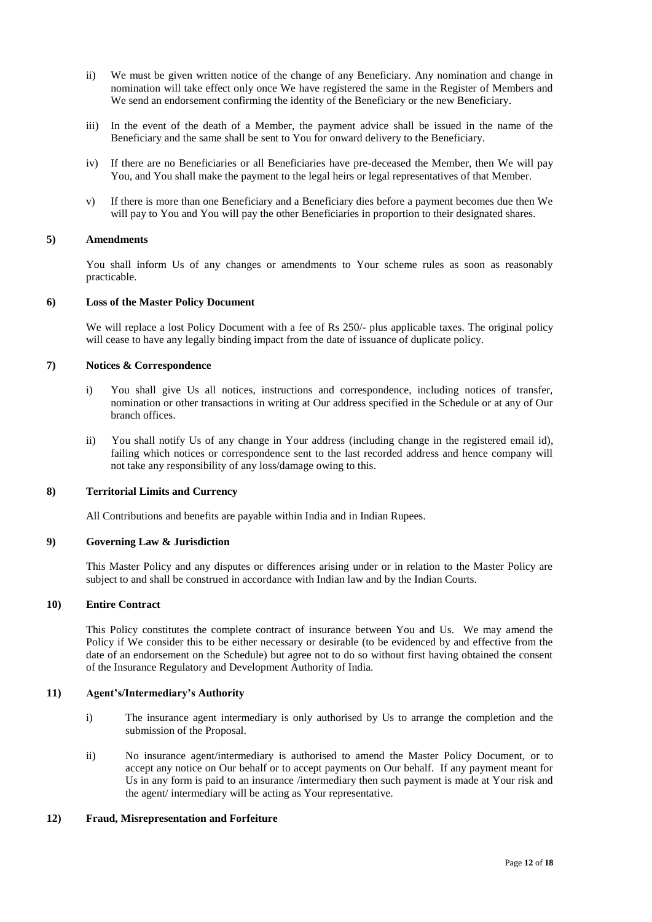- ii) We must be given written notice of the change of any Beneficiary. Any nomination and change in nomination will take effect only once We have registered the same in the Register of Members and We send an endorsement confirming the identity of the Beneficiary or the new Beneficiary.
- iii) In the event of the death of a Member, the payment advice shall be issued in the name of the Beneficiary and the same shall be sent to You for onward delivery to the Beneficiary.
- iv) If there are no Beneficiaries or all Beneficiaries have pre-deceased the Member, then We will pay You, and You shall make the payment to the legal heirs or legal representatives of that Member.
- v) If there is more than one Beneficiary and a Beneficiary dies before a payment becomes due then We will pay to You and You will pay the other Beneficiaries in proportion to their designated shares.

#### **5) Amendments**

You shall inform Us of any changes or amendments to Your scheme rules as soon as reasonably practicable.

#### **6) Loss of the Master Policy Document**

We will replace a lost Policy Document with a fee of Rs 250/- plus applicable taxes. The original policy will cease to have any legally binding impact from the date of issuance of duplicate policy.

#### **7) Notices & Correspondence**

- i) You shall give Us all notices, instructions and correspondence, including notices of transfer, nomination or other transactions in writing at Our address specified in the Schedule or at any of Our branch offices.
- ii) You shall notify Us of any change in Your address (including change in the registered email id), failing which notices or correspondence sent to the last recorded address and hence company will not take any responsibility of any loss/damage owing to this.

#### **8) Territorial Limits and Currency**

All Contributions and benefits are payable within India and in Indian Rupees.

#### **9) Governing Law & Jurisdiction**

This Master Policy and any disputes or differences arising under or in relation to the Master Policy are subject to and shall be construed in accordance with Indian law and by the Indian Courts.

# **10) Entire Contract**

This Policy constitutes the complete contract of insurance between You and Us. We may amend the Policy if We consider this to be either necessary or desirable (to be evidenced by and effective from the date of an endorsement on the Schedule) but agree not to do so without first having obtained the consent of the Insurance Regulatory and Development Authority of India.

#### **11) Agent's/Intermediary's Authority**

- i) The insurance agent intermediary is only authorised by Us to arrange the completion and the submission of the Proposal.
- ii) No insurance agent/intermediary is authorised to amend the Master Policy Document, or to accept any notice on Our behalf or to accept payments on Our behalf. If any payment meant for Us in any form is paid to an insurance /intermediary then such payment is made at Your risk and the agent/ intermediary will be acting as Your representative.

#### **12) Fraud, Misrepresentation and Forfeiture**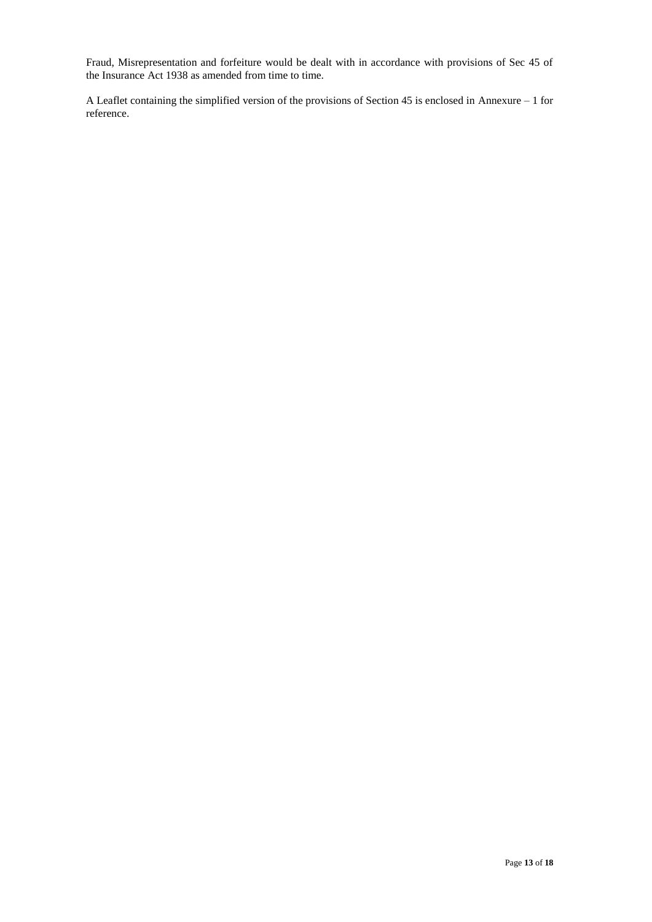Fraud, Misrepresentation and forfeiture would be dealt with in accordance with provisions of Sec 45 of the Insurance Act 1938 as amended from time to time.

A Leaflet containing the simplified version of the provisions of Section 45 is enclosed in Annexure – 1 for reference.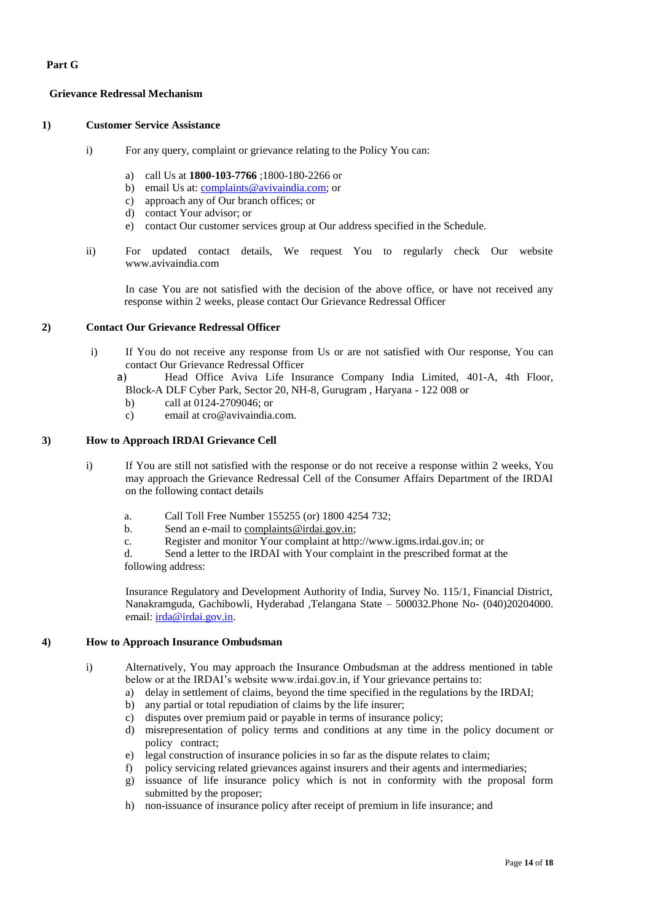# **Part G**

## **Grievance Redressal Mechanism**

#### **1) Customer Service Assistance**

- i) For any query, complaint or grievance relating to the Policy You can:
	- a) call Us at **1800-103-7766** ;1800-180-2266 or
	- b) email Us at: [complaints@avivaindia.com;](mailto:complaints@avivaindia.com) or
	- c) approach any of Our branch offices; or
	- d) contact Your advisor; or
	- e) contact Our customer services group at Our address specified in the Schedule.
- ii) For updated contact details, We request You to regularly check Our website www.avivaindia.com

In case You are not satisfied with the decision of the above office, or have not received any response within 2 weeks, please contact Our Grievance Redressal Officer

#### **2) Contact Our Grievance Redressal Officer**

- i) If You do not receive any response from Us or are not satisfied with Our response, You can contact Our Grievance Redressal Officer
	- a) Head Office Aviva Life Insurance Company India Limited, 401-A, 4th Floor, Block-A DLF Cyber Park, Sector 20, NH-8, Gurugram , Haryana - 122 008 or
		- b) call at 0124-2709046; or
		- c) email at [cro@avivaindia.com.](mailto:cro@avivaindia.com)

# **3) How to Approach IRDAI Grievance Cell**

- i) If You are still not satisfied with the response or do not receive a response within 2 weeks, You may approach the Grievance Redressal Cell of the Consumer Affairs Department of the IRDAI on the following contact details
	- a. Call Toll Free Number 155255 (or) 1800 4254 732;
	- b. Send an e-mail to [complaints@irdai.gov.in;](mailto:complaints@irdai.gov.in)
	- c. Register and monitor Your complaint at http://www[.igms.irdai.gov.in;](http://igms.irda.gov.in/) or

d. Send a letter to the IRDAI with Your complaint in the prescribed format at the following address:

Insurance Regulatory and Development Authority of India, Survey No. 115/1, Financial District, Nanakramguda, Gachibowli, Hyderabad ,Telangana State – 500032.Phone No- (040)20204000. email: [irda@irdai.gov.in.](mailto:irda@irdai.gov.in)

### **4) How to Approach Insurance Ombudsman**

- i) Alternatively, You may approach the Insurance Ombudsman at the address mentioned in table below or at the IRDAI's website www.irdai.gov.in, if Your grievance pertains to:
	- a) delay in settlement of claims, beyond the time specified in the regulations by the IRDAI;
	- b) any partial or total repudiation of claims by the life insurer;
	- c) disputes over premium paid or payable in terms of insurance policy;
	- d) misrepresentation of policy terms and conditions at any time in the policy document or policy contract;
	- e) legal construction of insurance policies in so far as the dispute relates to claim;
	- f) policy servicing related grievances against insurers and their agents and intermediaries;
	- g) issuance of life insurance policy which is not in conformity with the proposal form submitted by the proposer;
	- h) non-issuance of insurance policy after receipt of premium in life insurance; and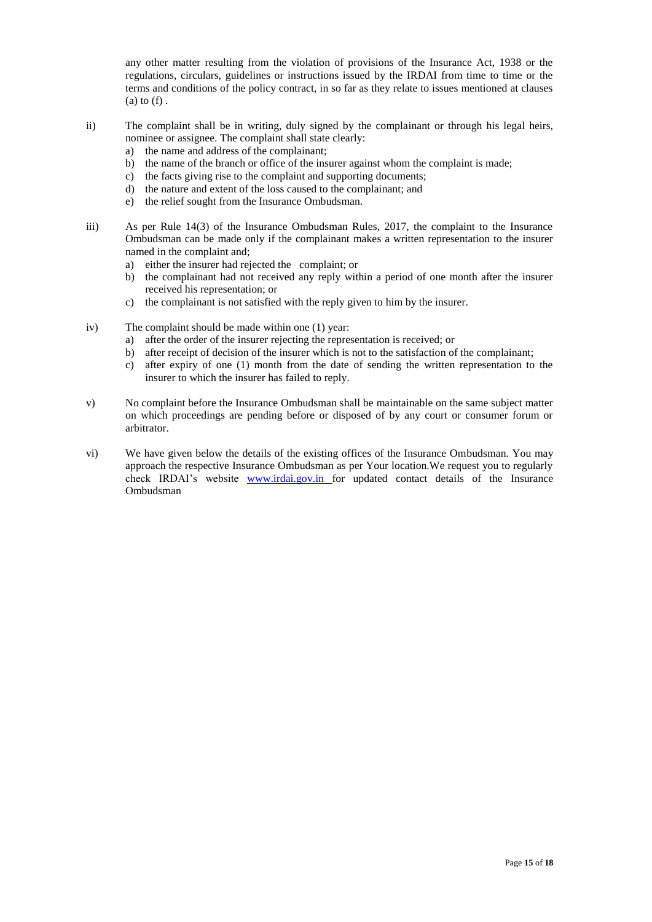any other matter resulting from the violation of provisions of the Insurance Act, 1938 or the regulations, circulars, guidelines or instructions issued by the IRDAI from time to time or the terms and conditions of the policy contract, in so far as they relate to issues mentioned at clauses  $(a)$  to  $(f)$ .

- ii) The complaint shall be in writing, duly signed by the complainant or through his legal heirs, nominee or assignee. The complaint shall state clearly:
	- a) the name and address of the complainant;
	- b) the name of the branch or office of the insurer against whom the complaint is made;
	- c) the facts giving rise to the complaint and supporting documents;
	- d) the nature and extent of the loss caused to the complainant; and
	- e) the relief sought from the Insurance Ombudsman.
- iii) As per Rule 14(3) of the Insurance Ombudsman Rules, 2017, the complaint to the Insurance Ombudsman can be made only if the complainant makes a written representation to the insurer named in the complaint and;
	- a) either the insurer had rejected the complaint; or
	- b) the complainant had not received any reply within a period of one month after the insurer received his representation; or
	- c) the complainant is not satisfied with the reply given to him by the insurer.
- iv) The complaint should be made within one (1) year:
	- a) after the order of the insurer rejecting the representation is received; or
	- b) after receipt of decision of the insurer which is not to the satisfaction of the complainant;
	- c) after expiry of one (1) month from the date of sending the written representation to the insurer to which the insurer has failed to reply.
- v) No complaint before the Insurance Ombudsman shall be maintainable on the same subject matter on which proceedings are pending before or disposed of by any court or consumer forum or arbitrator.
- vi) We have given below the details of the existing offices of the Insurance Ombudsman. You may approach the respective Insurance Ombudsman as per Your location.We request you to regularly check IRDAI's website [www.irdai.gov.in f](http://www.irdai.gov.in/)or updated contact details of the Insurance Ombudsman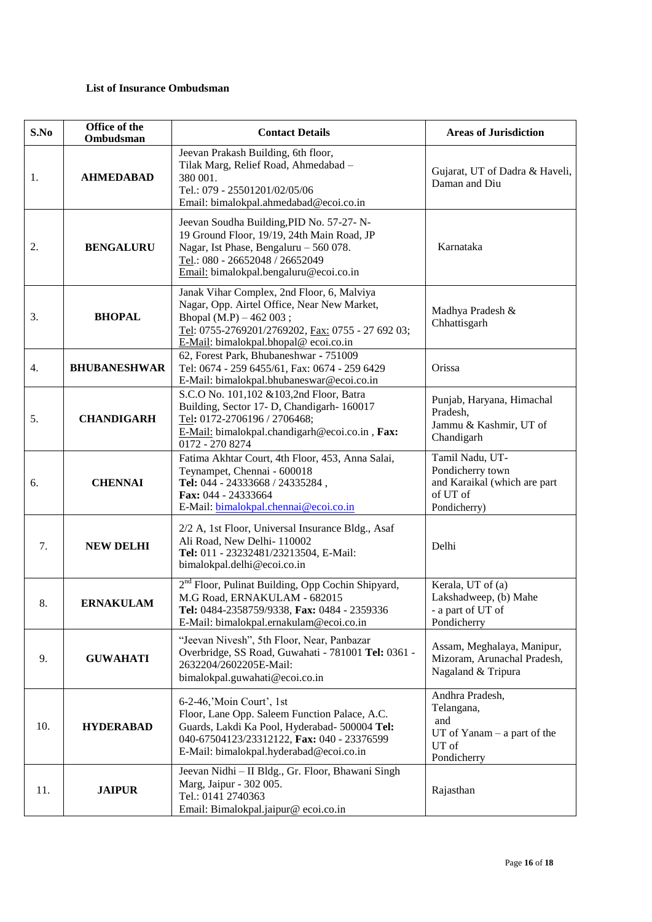# **List of Insurance Ombudsman**

| S.No | Office of the<br>Ombudsman | <b>Contact Details</b>                                                                                                                                                                                              | <b>Areas of Jurisdiction</b>                                                                    |
|------|----------------------------|---------------------------------------------------------------------------------------------------------------------------------------------------------------------------------------------------------------------|-------------------------------------------------------------------------------------------------|
| 1.   | <b>AHMEDABAD</b>           | Jeevan Prakash Building, 6th floor,<br>Tilak Marg, Relief Road, Ahmedabad -<br>380 001.<br>Tel.: 079 - 25501201/02/05/06<br>Email: bimalokpal.ahmedabad@ecoi.co.in                                                  | Gujarat, UT of Dadra & Haveli,<br>Daman and Diu                                                 |
| 2.   | <b>BENGALURU</b>           | Jeevan Soudha Building, PID No. 57-27- N-<br>19 Ground Floor, 19/19, 24th Main Road, JP<br>Nagar, Ist Phase, Bengaluru - 560 078.<br>Tel.: 080 - 26652048 / 26652049<br>Email: bimalokpal.bengaluru@ecoi.co.in      | Karnataka                                                                                       |
| 3.   | <b>BHOPAL</b>              | Janak Vihar Complex, 2nd Floor, 6, Malviya<br>Nagar, Opp. Airtel Office, Near New Market,<br>Bhopal $(M.P) - 462003$ ;<br>Tel: 0755-2769201/2769202, Fax: 0755 - 27 692 03;<br>E-Mail: bimalokpal.bhopal@ecoi.co.in | Madhya Pradesh &<br>Chhattisgarh                                                                |
| 4.   | <b>BHUBANESHWAR</b>        | 62, Forest Park, Bhubaneshwar - 751009<br>Tel: 0674 - 259 6455/61, Fax: 0674 - 259 6429<br>E-Mail: bimalokpal.bhubaneswar@ecoi.co.in                                                                                | Orissa                                                                                          |
| 5.   | <b>CHANDIGARH</b>          | S.C.O No. 101,102 & 103,2nd Floor, Batra<br>Building, Sector 17- D, Chandigarh- 160017<br>Tel: 0172-2706196 / 2706468;<br>E-Mail: bimalokpal.chandigarh@ecoi.co.in, Fax:<br>0172 - 270 8274                         | Punjab, Haryana, Himachal<br>Pradesh,<br>Jammu & Kashmir, UT of<br>Chandigarh                   |
| 6.   | <b>CHENNAI</b>             | Fatima Akhtar Court, 4th Floor, 453, Anna Salai,<br>Teynampet, Chennai - 600018<br>Tel: 044 - 24333668 / 24335284,<br>Fax: 044 - 24333664<br>E-Mail: bimalokpal.chennai@ecoi.co.in                                  | Tamil Nadu, UT-<br>Pondicherry town<br>and Karaikal (which are part<br>of UT of<br>Pondicherry) |
| 7.   | <b>NEW DELHI</b>           | 2/2 A, 1st Floor, Universal Insurance Bldg., Asaf<br>Ali Road, New Delhi-110002<br>Tel: 011 - 23232481/23213504, E-Mail:<br>bimalokpal.delhi@ecoi.co.in                                                             | Delhi                                                                                           |
| 8.   | <b>ERNAKULAM</b>           | 2 <sup>nd</sup> Floor, Pulinat Building, Opp Cochin Shipyard,<br>M.G Road, ERNAKULAM - 682015<br>Tel: 0484-2358759/9338, Fax: 0484 - 2359336<br>E-Mail: bimalokpal.ernakulam@ecoi.co.in                             | Kerala, UT of (a)<br>Lakshadweep, (b) Mahe<br>- a part of UT of<br>Pondicherry                  |
| 9.   | <b>GUWAHATI</b>            | "Jeevan Nivesh", 5th Floor, Near, Panbazar<br>Overbridge, SS Road, Guwahati - 781001 Tel: 0361 -<br>2632204/2602205E-Mail:<br>bimalokpal.guwahati@ecoi.co.in                                                        | Assam, Meghalaya, Manipur,<br>Mizoram, Arunachal Pradesh,<br>Nagaland & Tripura                 |
| 10.  | <b>HYDERABAD</b>           | 6-2-46,'Moin Court', 1st<br>Floor, Lane Opp. Saleem Function Palace, A.C.<br>Guards, Lakdi Ka Pool, Hyderabad- 500004 Tel:<br>040-67504123/23312122, Fax: 040 - 23376599<br>E-Mail: bimalokpal.hyderabad@ecoi.co.in | Andhra Pradesh,<br>Telangana,<br>and<br>$UT$ of Yanam $-$ a part of the<br>UT of<br>Pondicherry |
| 11.  | <b>JAIPUR</b>              | Jeevan Nidhi - II Bldg., Gr. Floor, Bhawani Singh<br>Marg, Jaipur - 302 005.<br>Tel.: 0141 2740363<br>Email: Bimalokpal.jaipur@ecoi.co.in                                                                           | Rajasthan                                                                                       |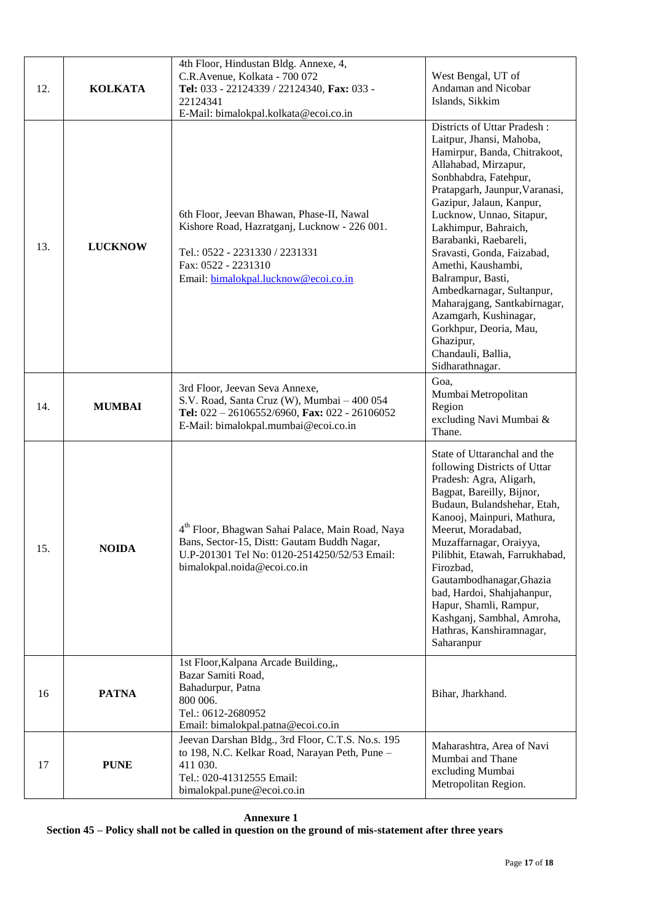| 12. | <b>KOLKATA</b> | 4th Floor, Hindustan Bldg. Annexe, 4,<br>C.R.Avenue, Kolkata - 700 072<br>Tel: 033 - 22124339 / 22124340, Fax: 033 -<br>22124341<br>E-Mail: bimalokpal.kolkata@ecoi.co.in                  | West Bengal, UT of<br>Andaman and Nicobar<br>Islands, Sikkim                                                                                                                                                                                                                                                                                                                                                                                                                                                                       |
|-----|----------------|--------------------------------------------------------------------------------------------------------------------------------------------------------------------------------------------|------------------------------------------------------------------------------------------------------------------------------------------------------------------------------------------------------------------------------------------------------------------------------------------------------------------------------------------------------------------------------------------------------------------------------------------------------------------------------------------------------------------------------------|
| 13. | <b>LUCKNOW</b> | 6th Floor, Jeevan Bhawan, Phase-II, Nawal<br>Kishore Road, Hazratganj, Lucknow - 226 001.<br>Tel.: 0522 - 2231330 / 2231331<br>Fax: 0522 - 2231310<br>Email: bimalokpal.lucknow@ecoi.co.in | Districts of Uttar Pradesh:<br>Laitpur, Jhansi, Mahoba,<br>Hamirpur, Banda, Chitrakoot,<br>Allahabad, Mirzapur,<br>Sonbhabdra, Fatehpur,<br>Pratapgarh, Jaunpur, Varanasi,<br>Gazipur, Jalaun, Kanpur,<br>Lucknow, Unnao, Sitapur,<br>Lakhimpur, Bahraich,<br>Barabanki, Raebareli,<br>Sravasti, Gonda, Faizabad,<br>Amethi, Kaushambi,<br>Balrampur, Basti,<br>Ambedkarnagar, Sultanpur,<br>Maharajgang, Santkabirnagar,<br>Azamgarh, Kushinagar,<br>Gorkhpur, Deoria, Mau,<br>Ghazipur,<br>Chandauli, Ballia,<br>Sidharathnagar. |
| 14. | <b>MUMBAI</b>  | 3rd Floor, Jeevan Seva Annexe,<br>S.V. Road, Santa Cruz (W), Mumbai - 400 054<br>Tel: $022 - 26106552/6960$ , Fax: $022 - 26106052$<br>E-Mail: bimalokpal.mumbai@ecoi.co.in                | Goa,<br>Mumbai Metropolitan<br>Region<br>excluding Navi Mumbai &<br>Thane.                                                                                                                                                                                                                                                                                                                                                                                                                                                         |
| 15. | <b>NOIDA</b>   | 4 <sup>th</sup> Floor, Bhagwan Sahai Palace, Main Road, Naya<br>Bans, Sector-15, Distt: Gautam Buddh Nagar,<br>U.P-201301 Tel No: 0120-2514250/52/53 Email:<br>bimalokpal.noida@ecoi.co.in | State of Uttaranchal and the<br>following Districts of Uttar<br>Pradesh: Agra, Aligarh,<br>Bagpat, Bareilly, Bijnor,<br>Budaun, Bulandshehar, Etah,<br>Kanooj, Mainpuri, Mathura,<br>Meerut, Moradabad,<br>Muzaffarnagar, Oraiyya,<br>Pilibhit, Etawah, Farrukhabad,<br>Firozbad,<br>Gautambodhanagar, Ghazia<br>bad, Hardoi, Shahjahanpur,<br>Hapur, Shamli, Rampur,<br>Kashganj, Sambhal, Amroha,<br>Hathras, Kanshiramnagar,<br>Saharanpur                                                                                      |
| 16  | <b>PATNA</b>   | 1st Floor, Kalpana Arcade Building,,<br>Bazar Samiti Road,<br>Bahadurpur, Patna<br>800 006.<br>Tel.: 0612-2680952<br>Email: bimalokpal.patna@ecoi.co.in                                    | Bihar, Jharkhand.                                                                                                                                                                                                                                                                                                                                                                                                                                                                                                                  |
| 17  | <b>PUNE</b>    | Jeevan Darshan Bldg., 3rd Floor, C.T.S. No.s. 195<br>to 198, N.C. Kelkar Road, Narayan Peth, Pune -<br>411 030.<br>Tel.: 020-41312555 Email:<br>bimalokpal.pune@ecoi.co.in                 | Maharashtra, Area of Navi<br>Mumbai and Thane<br>excluding Mumbai<br>Metropolitan Region.                                                                                                                                                                                                                                                                                                                                                                                                                                          |

**Annexure 1 Section 45 – Policy shall not be called in question on the ground of mis-statement after three years**